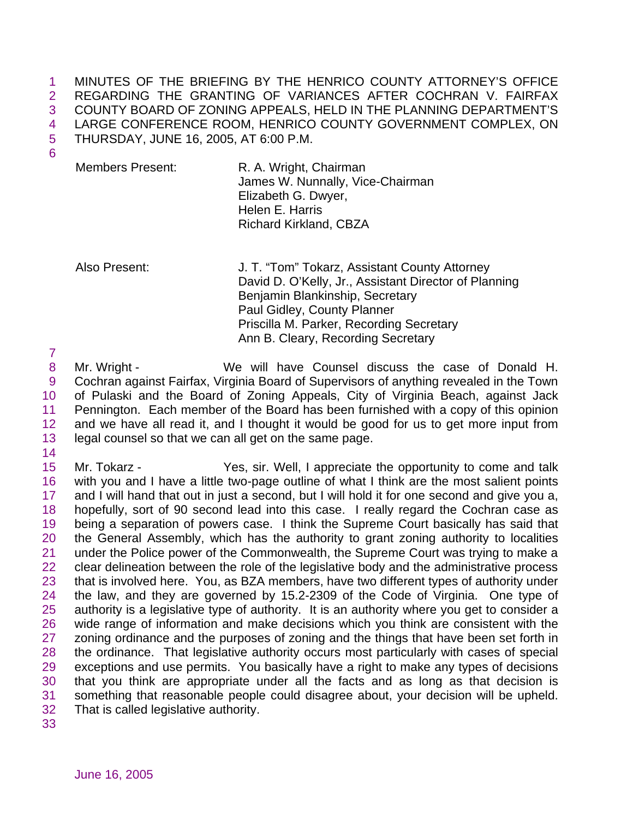MINUTES OF THE BRIEFING BY THE HENRICO COUNTY ATTORNEY'S OFFICE REGARDING THE GRANTING OF VARIANCES AFTER COCHRAN V. FAIRFAX COUNTY BOARD OF ZONING APPEALS, HELD IN THE PLANNING DEPARTMENT'S LARGE CONFERENCE ROOM, HENRICO COUNTY GOVERNMENT COMPLEX, ON THURSDAY, JUNE 16, 2005, AT 6:00 P.M.

Members Present: R. A. Wright, Chairman James W. Nunnally, Vice-Chairman Elizabeth G. Dwyer, Helen E. Harris Richard Kirkland, CBZA

Also Present: J. T. "Tom" Tokarz, Assistant County Attorney David D. O'Kelly, Jr., Assistant Director of Planning Benjamin Blankinship, Secretary Paul Gidley, County Planner Priscilla M. Parker, Recording Secretary Ann B. Cleary, Recording Secretary

 Mr. Wright - We will have Counsel discuss the case of Donald H. Cochran against Fairfax, Virginia Board of Supervisors of anything revealed in the Town of Pulaski and the Board of Zoning Appeals, City of Virginia Beach, against Jack Pennington. Each member of the Board has been furnished with a copy of this opinion and we have all read it, and I thought it would be good for us to get more input from legal counsel so that we can all get on the same page.

 Mr. Tokarz - Yes, sir. Well, I appreciate the opportunity to come and talk with you and I have a little two-page outline of what I think are the most salient points and I will hand that out in just a second, but I will hold it for one second and give you a, hopefully, sort of 90 second lead into this case. I really regard the Cochran case as being a separation of powers case. I think the Supreme Court basically has said that the General Assembly, which has the authority to grant zoning authority to localities under the Police power of the Commonwealth, the Supreme Court was trying to make a clear delineation between the role of the legislative body and the administrative process that is involved here. You, as BZA members, have two different types of authority under the law, and they are governed by 15.2-2309 of the Code of Virginia. One type of authority is a legislative type of authority. It is an authority where you get to consider a wide range of information and make decisions which you think are consistent with the 27 zoning ordinance and the purposes of zoning and the things that have been set forth in the ordinance. That legislative authority occurs most particularly with cases of special exceptions and use permits. You basically have a right to make any types of decisions that you think are appropriate under all the facts and as long as that decision is something that reasonable people could disagree about, your decision will be upheld. That is called legislative authority.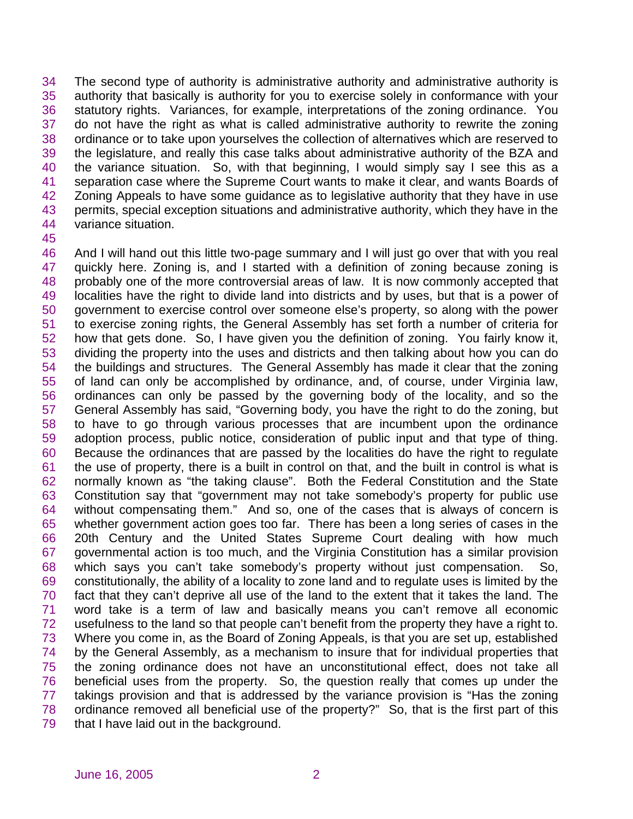The second type of authority is administrative authority and administrative authority is authority that basically is authority for you to exercise solely in conformance with your statutory rights. Variances, for example, interpretations of the zoning ordinance. You do not have the right as what is called administrative authority to rewrite the zoning ordinance or to take upon yourselves the collection of alternatives which are reserved to the legislature, and really this case talks about administrative authority of the BZA and the variance situation. So, with that beginning, I would simply say I see this as a separation case where the Supreme Court wants to make it clear, and wants Boards of 42 Zoning Appeals to have some guidance as to legislative authority that they have in use 43 permits, special exception situations and administrative authority, which they have in the variance situation.

 And I will hand out this little two-page summary and I will just go over that with you real quickly here. Zoning is, and I started with a definition of zoning because zoning is probably one of the more controversial areas of law. It is now commonly accepted that localities have the right to divide land into districts and by uses, but that is a power of government to exercise control over someone else's property, so along with the power to exercise zoning rights, the General Assembly has set forth a number of criteria for how that gets done. So, I have given you the definition of zoning. You fairly know it, dividing the property into the uses and districts and then talking about how you can do the buildings and structures. The General Assembly has made it clear that the zoning of land can only be accomplished by ordinance, and, of course, under Virginia law, ordinances can only be passed by the governing body of the locality, and so the General Assembly has said, "Governing body, you have the right to do the zoning, but to have to go through various processes that are incumbent upon the ordinance adoption process, public notice, consideration of public input and that type of thing. Because the ordinances that are passed by the localities do have the right to regulate the use of property, there is a built in control on that, and the built in control is what is normally known as "the taking clause". Both the Federal Constitution and the State Constitution say that "government may not take somebody's property for public use without compensating them." And so, one of the cases that is always of concern is whether government action goes too far. There has been a long series of cases in the 20th Century and the United States Supreme Court dealing with how much governmental action is too much, and the Virginia Constitution has a similar provision which says you can't take somebody's property without just compensation. So, constitutionally, the ability of a locality to zone land and to regulate uses is limited by the fact that they can't deprive all use of the land to the extent that it takes the land. The word take is a term of law and basically means you can't remove all economic usefulness to the land so that people can't benefit from the property they have a right to. Where you come in, as the Board of Zoning Appeals, is that you are set up, established by the General Assembly, as a mechanism to insure that for individual properties that the zoning ordinance does not have an unconstitutional effect, does not take all beneficial uses from the property. So, the question really that comes up under the takings provision and that is addressed by the variance provision is "Has the zoning ordinance removed all beneficial use of the property?" So, that is the first part of this that I have laid out in the background.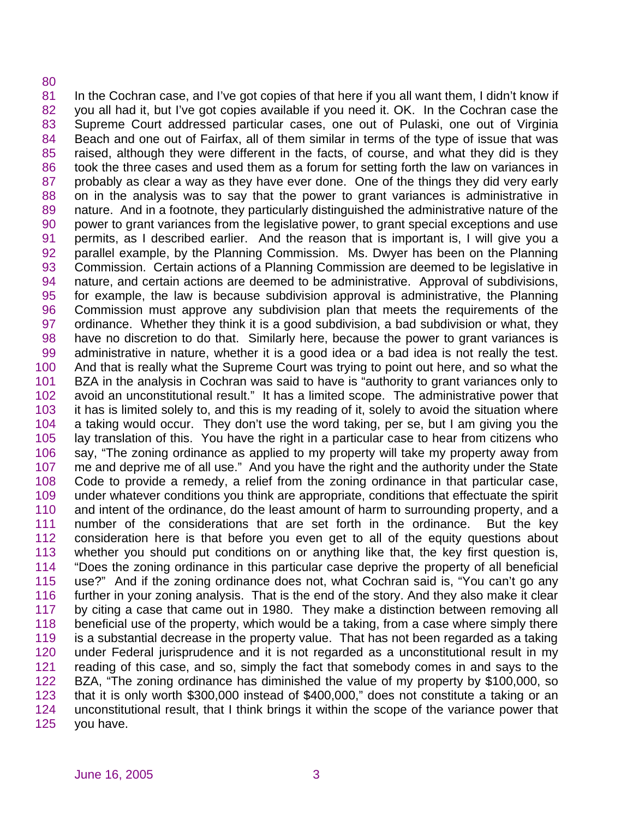## 

81 In the Cochran case, and I've got copies of that here if you all want them, I didn't know if you all had it, but I've got copies available if you need it. OK. In the Cochran case the Supreme Court addressed particular cases, one out of Pulaski, one out of Virginia Beach and one out of Fairfax, all of them similar in terms of the type of issue that was raised, although they were different in the facts, of course, and what they did is they took the three cases and used them as a forum for setting forth the law on variances in probably as clear a way as they have ever done. One of the things they did very early on in the analysis was to say that the power to grant variances is administrative in 89 nature. And in a footnote, they particularly distinguished the administrative nature of the power to grant variances from the legislative power, to grant special exceptions and use permits, as I described earlier. And the reason that is important is, I will give you a parallel example, by the Planning Commission. Ms. Dwyer has been on the Planning Commission. Certain actions of a Planning Commission are deemed to be legislative in nature, and certain actions are deemed to be administrative. Approval of subdivisions, for example, the law is because subdivision approval is administrative, the Planning Commission must approve any subdivision plan that meets the requirements of the ordinance. Whether they think it is a good subdivision, a bad subdivision or what, they have no discretion to do that. Similarly here, because the power to grant variances is administrative in nature, whether it is a good idea or a bad idea is not really the test. And that is really what the Supreme Court was trying to point out here, and so what the BZA in the analysis in Cochran was said to have is "authority to grant variances only to avoid an unconstitutional result." It has a limited scope. The administrative power that it has is limited solely to, and this is my reading of it, solely to avoid the situation where a taking would occur. They don't use the word taking, per se, but I am giving you the lay translation of this. You have the right in a particular case to hear from citizens who say, "The zoning ordinance as applied to my property will take my property away from me and deprive me of all use." And you have the right and the authority under the State Code to provide a remedy, a relief from the zoning ordinance in that particular case, under whatever conditions you think are appropriate, conditions that effectuate the spirit and intent of the ordinance, do the least amount of harm to surrounding property, and a number of the considerations that are set forth in the ordinance. But the key consideration here is that before you even get to all of the equity questions about whether you should put conditions on or anything like that, the key first question is, "Does the zoning ordinance in this particular case deprive the property of all beneficial use?" And if the zoning ordinance does not, what Cochran said is, "You can't go any further in your zoning analysis. That is the end of the story. And they also make it clear by citing a case that came out in 1980. They make a distinction between removing all beneficial use of the property, which would be a taking, from a case where simply there is a substantial decrease in the property value. That has not been regarded as a taking under Federal jurisprudence and it is not regarded as a unconstitutional result in my reading of this case, and so, simply the fact that somebody comes in and says to the BZA, "The zoning ordinance has diminished the value of my property by \$100,000, so that it is only worth \$300,000 instead of \$400,000," does not constitute a taking or an unconstitutional result, that I think brings it within the scope of the variance power that you have.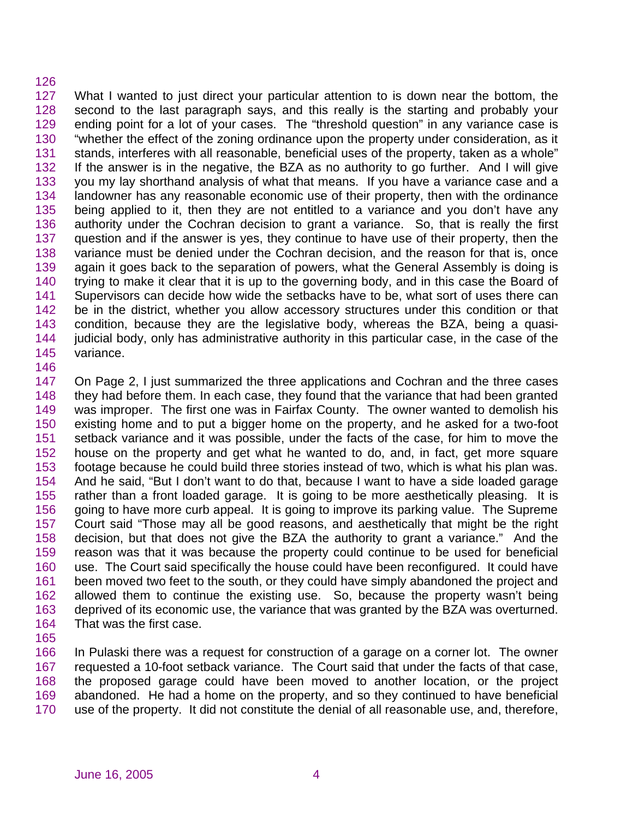## 

 What I wanted to just direct your particular attention to is down near the bottom, the second to the last paragraph says, and this really is the starting and probably your ending point for a lot of your cases. The "threshold question" in any variance case is "whether the effect of the zoning ordinance upon the property under consideration, as it stands, interferes with all reasonable, beneficial uses of the property, taken as a whole" If the answer is in the negative, the BZA as no authority to go further. And I will give you my lay shorthand analysis of what that means. If you have a variance case and a landowner has any reasonable economic use of their property, then with the ordinance being applied to it, then they are not entitled to a variance and you don't have any authority under the Cochran decision to grant a variance. So, that is really the first question and if the answer is yes, they continue to have use of their property, then the variance must be denied under the Cochran decision, and the reason for that is, once again it goes back to the separation of powers, what the General Assembly is doing is trying to make it clear that it is up to the governing body, and in this case the Board of Supervisors can decide how wide the setbacks have to be, what sort of uses there can be in the district, whether you allow accessory structures under this condition or that condition, because they are the legislative body, whereas the BZA, being a quasi- judicial body, only has administrative authority in this particular case, in the case of the variance.

 On Page 2, I just summarized the three applications and Cochran and the three cases they had before them. In each case, they found that the variance that had been granted was improper. The first one was in Fairfax County. The owner wanted to demolish his existing home and to put a bigger home on the property, and he asked for a two-foot setback variance and it was possible, under the facts of the case, for him to move the house on the property and get what he wanted to do, and, in fact, get more square footage because he could build three stories instead of two, which is what his plan was. And he said, "But I don't want to do that, because I want to have a side loaded garage rather than a front loaded garage. It is going to be more aesthetically pleasing. It is going to have more curb appeal. It is going to improve its parking value. The Supreme Court said "Those may all be good reasons, and aesthetically that might be the right decision, but that does not give the BZA the authority to grant a variance." And the reason was that it was because the property could continue to be used for beneficial use. The Court said specifically the house could have been reconfigured. It could have been moved two feet to the south, or they could have simply abandoned the project and allowed them to continue the existing use. So, because the property wasn't being deprived of its economic use, the variance that was granted by the BZA was overturned. That was the first case.

 In Pulaski there was a request for construction of a garage on a corner lot. The owner requested a 10-foot setback variance. The Court said that under the facts of that case, the proposed garage could have been moved to another location, or the project abandoned. He had a home on the property, and so they continued to have beneficial use of the property. It did not constitute the denial of all reasonable use, and, therefore,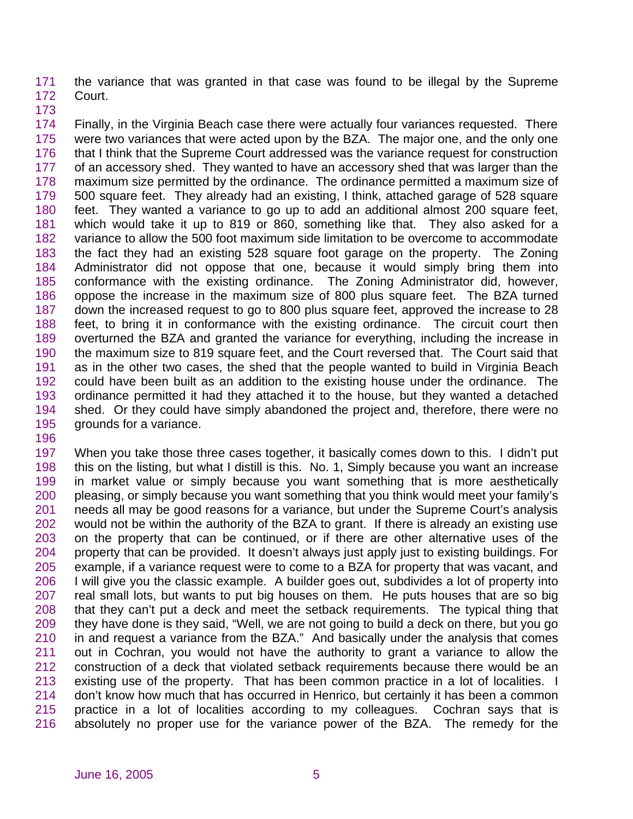the variance that was granted in that case was found to be illegal by the Supreme Court.

 Finally, in the Virginia Beach case there were actually four variances requested. There were two variances that were acted upon by the BZA. The major one, and the only one that I think that the Supreme Court addressed was the variance request for construction of an accessory shed. They wanted to have an accessory shed that was larger than the maximum size permitted by the ordinance. The ordinance permitted a maximum size of 500 square feet. They already had an existing, I think, attached garage of 528 square feet. They wanted a variance to go up to add an additional almost 200 square feet, which would take it up to 819 or 860, something like that. They also asked for a variance to allow the 500 foot maximum side limitation to be overcome to accommodate the fact they had an existing 528 square foot garage on the property. The Zoning Administrator did not oppose that one, because it would simply bring them into conformance with the existing ordinance. The Zoning Administrator did, however, oppose the increase in the maximum size of 800 plus square feet. The BZA turned down the increased request to go to 800 plus square feet, approved the increase to 28 feet, to bring it in conformance with the existing ordinance. The circuit court then overturned the BZA and granted the variance for everything, including the increase in the maximum size to 819 square feet, and the Court reversed that. The Court said that as in the other two cases, the shed that the people wanted to build in Virginia Beach could have been built as an addition to the existing house under the ordinance. The ordinance permitted it had they attached it to the house, but they wanted a detached shed. Or they could have simply abandoned the project and, therefore, there were no grounds for a variance.

 When you take those three cases together, it basically comes down to this. I didn't put this on the listing, but what I distill is this. No. 1, Simply because you want an increase in market value or simply because you want something that is more aesthetically pleasing, or simply because you want something that you think would meet your family's needs all may be good reasons for a variance, but under the Supreme Court's analysis would not be within the authority of the BZA to grant. If there is already an existing use on the property that can be continued, or if there are other alternative uses of the property that can be provided. It doesn't always just apply just to existing buildings. For example, if a variance request were to come to a BZA for property that was vacant, and I will give you the classic example. A builder goes out, subdivides a lot of property into real small lots, but wants to put big houses on them. He puts houses that are so big that they can't put a deck and meet the setback requirements. The typical thing that they have done is they said, "Well, we are not going to build a deck on there, but you go in and request a variance from the BZA." And basically under the analysis that comes out in Cochran, you would not have the authority to grant a variance to allow the construction of a deck that violated setback requirements because there would be an existing use of the property. That has been common practice in a lot of localities. I don't know how much that has occurred in Henrico, but certainly it has been a common practice in a lot of localities according to my colleagues. Cochran says that is absolutely no proper use for the variance power of the BZA. The remedy for the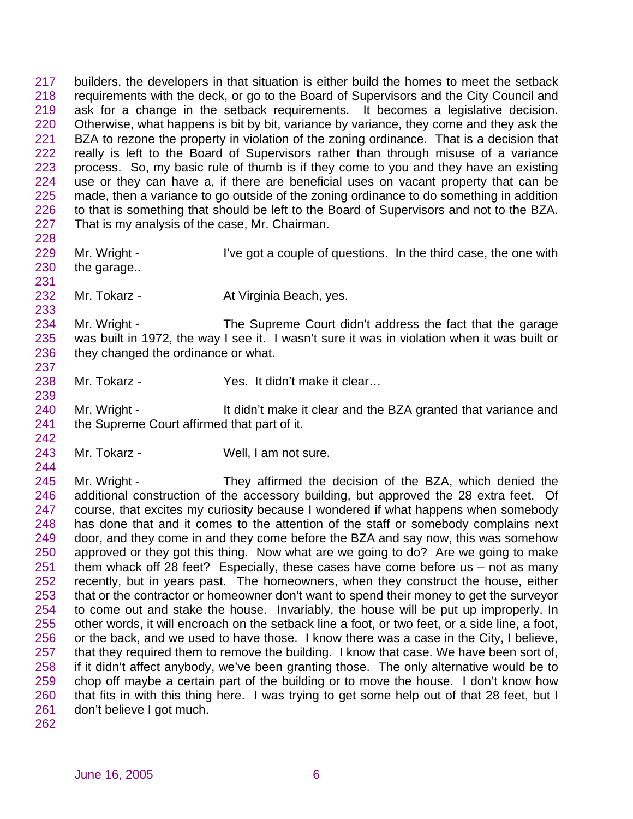builders, the developers in that situation is either build the homes to meet the setback requirements with the deck, or go to the Board of Supervisors and the City Council and ask for a change in the setback requirements. It becomes a legislative decision. Otherwise, what happens is bit by bit, variance by variance, they come and they ask the BZA to rezone the property in violation of the zoning ordinance. That is a decision that really is left to the Board of Supervisors rather than through misuse of a variance process. So, my basic rule of thumb is if they come to you and they have an existing use or they can have a, if there are beneficial uses on vacant property that can be made, then a variance to go outside of the zoning ordinance to do something in addition to that is something that should be left to the Board of Supervisors and not to the BZA. That is my analysis of the case, Mr. Chairman. 

- 229 Mr. Wright I've got a couple of questions. In the third case, the one with the garage..
- 232 Mr. Tokarz At Virginia Beach, yes.

234 Mr. Wright - The Supreme Court didn't address the fact that the garage was built in 1972, the way I see it. I wasn't sure it was in violation when it was built or they changed the ordinance or what. 

238 Mr. Tokarz - Yes. It didn't make it clear...

240 Mr. Wright - It didn't make it clear and the BZA granted that variance and 241 the Supreme Court affirmed that part of it.

Mr. Tokarz - Well, I am not sure.

 Mr. Wright - They affirmed the decision of the BZA, which denied the additional construction of the accessory building, but approved the 28 extra feet. Of course, that excites my curiosity because I wondered if what happens when somebody has done that and it comes to the attention of the staff or somebody complains next door, and they come in and they come before the BZA and say now, this was somehow approved or they got this thing. Now what are we going to do? Are we going to make them whack off 28 feet? Especially, these cases have come before us – not as many recently, but in years past. The homeowners, when they construct the house, either that or the contractor or homeowner don't want to spend their money to get the surveyor to come out and stake the house. Invariably, the house will be put up improperly. In other words, it will encroach on the setback line a foot, or two feet, or a side line, a foot, or the back, and we used to have those. I know there was a case in the City, I believe, that they required them to remove the building. I know that case. We have been sort of, if it didn't affect anybody, we've been granting those. The only alternative would be to chop off maybe a certain part of the building or to move the house. I don't know how that fits in with this thing here. I was trying to get some help out of that 28 feet, but I don't believe I got much.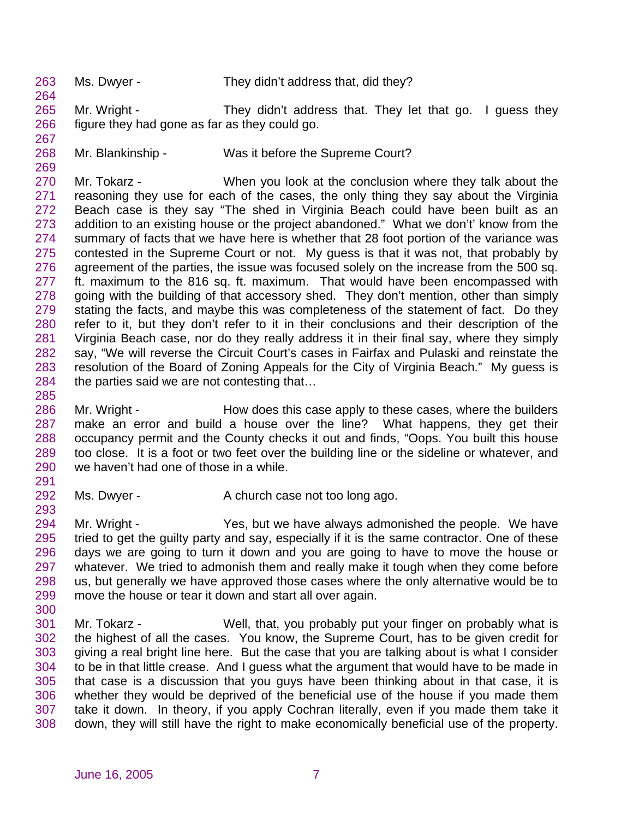Ms. Dwyer - They didn't address that, did they?

265 Mr. Wright - They didn't address that. They let that go. I guess they figure they had gone as far as they could go. 

268 Mr. Blankinship - Was it before the Supreme Court?

 Mr. Tokarz - When you look at the conclusion where they talk about the reasoning they use for each of the cases, the only thing they say about the Virginia Beach case is they say "The shed in Virginia Beach could have been built as an addition to an existing house or the project abandoned." What we don't' know from the summary of facts that we have here is whether that 28 foot portion of the variance was contested in the Supreme Court or not. My guess is that it was not, that probably by agreement of the parties, the issue was focused solely on the increase from the 500 sq. ft. maximum to the 816 sq. ft. maximum. That would have been encompassed with going with the building of that accessory shed. They don't mention, other than simply stating the facts, and maybe this was completeness of the statement of fact. Do they refer to it, but they don't refer to it in their conclusions and their description of the Virginia Beach case, nor do they really address it in their final say, where they simply say, "We will reverse the Circuit Court's cases in Fairfax and Pulaski and reinstate the resolution of the Board of Zoning Appeals for the City of Virginia Beach." My guess is 284 the parties said we are not contesting that...

- 286 Mr. Wright How does this case apply to these cases, where the builders make an error and build a house over the line? What happens, they get their occupancy permit and the County checks it out and finds, "Oops. You built this house too close. It is a foot or two feet over the building line or the sideline or whatever, and we haven't had one of those in a while.
- 292 Ms. Dwyer A church case not too long ago.
- Mr. Wright Yes, but we have always admonished the people. We have tried to get the guilty party and say, especially if it is the same contractor. One of these days we are going to turn it down and you are going to have to move the house or whatever. We tried to admonish them and really make it tough when they come before us, but generally we have approved those cases where the only alternative would be to move the house or tear it down and start all over again.
- Mr. Tokarz Well, that, you probably put your finger on probably what is the highest of all the cases. You know, the Supreme Court, has to be given credit for giving a real bright line here. But the case that you are talking about is what I consider to be in that little crease. And I guess what the argument that would have to be made in that case is a discussion that you guys have been thinking about in that case, it is whether they would be deprived of the beneficial use of the house if you made them take it down. In theory, if you apply Cochran literally, even if you made them take it down, they will still have the right to make economically beneficial use of the property.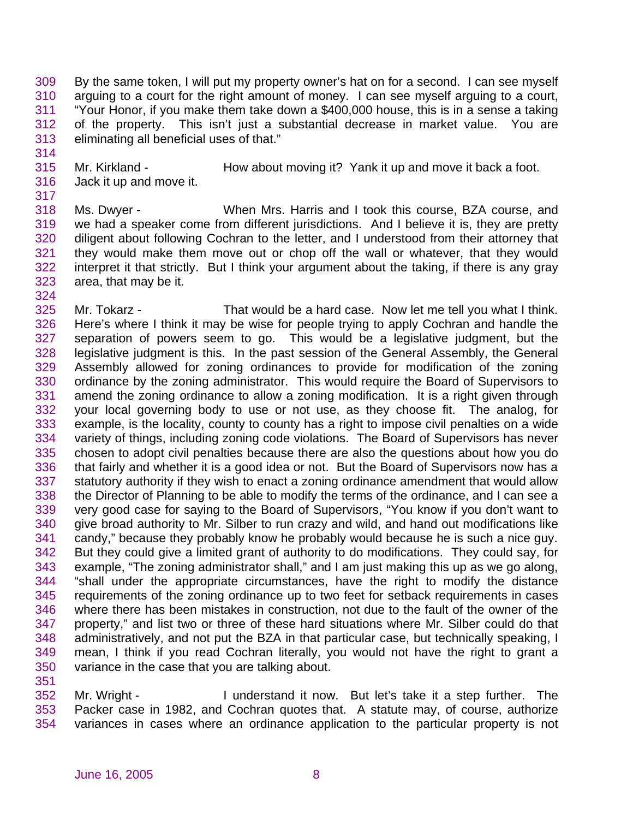By the same token, I will put my property owner's hat on for a second. I can see myself arguing to a court for the right amount of money. I can see myself arguing to a court, "Your Honor, if you make them take down a \$400,000 house, this is in a sense a taking of the property. This isn't just a substantial decrease in market value. You are eliminating all beneficial uses of that."

- Mr. Kirkland How about moving it? Yank it up and move it back a foot. Jack it up and move it.
- Ms. Dwyer When Mrs. Harris and I took this course, BZA course, and we had a speaker come from different jurisdictions. And I believe it is, they are pretty diligent about following Cochran to the letter, and I understood from their attorney that they would make them move out or chop off the wall or whatever, that they would interpret it that strictly. But I think your argument about the taking, if there is any gray area, that may be it.
- Mr. Tokarz - That would be a hard case. Now let me tell you what I think. Here's where I think it may be wise for people trying to apply Cochran and handle the separation of powers seem to go. This would be a legislative judgment, but the legislative judgment is this. In the past session of the General Assembly, the General Assembly allowed for zoning ordinances to provide for modification of the zoning ordinance by the zoning administrator. This would require the Board of Supervisors to amend the zoning ordinance to allow a zoning modification. It is a right given through your local governing body to use or not use, as they choose fit. The analog, for example, is the locality, county to county has a right to impose civil penalties on a wide variety of things, including zoning code violations. The Board of Supervisors has never chosen to adopt civil penalties because there are also the questions about how you do that fairly and whether it is a good idea or not. But the Board of Supervisors now has a statutory authority if they wish to enact a zoning ordinance amendment that would allow the Director of Planning to be able to modify the terms of the ordinance, and I can see a very good case for saying to the Board of Supervisors, "You know if you don't want to give broad authority to Mr. Silber to run crazy and wild, and hand out modifications like candy," because they probably know he probably would because he is such a nice guy. But they could give a limited grant of authority to do modifications. They could say, for example, "The zoning administrator shall," and I am just making this up as we go along, "shall under the appropriate circumstances, have the right to modify the distance requirements of the zoning ordinance up to two feet for setback requirements in cases where there has been mistakes in construction, not due to the fault of the owner of the property," and list two or three of these hard situations where Mr. Silber could do that administratively, and not put the BZA in that particular case, but technically speaking, I mean, I think if you read Cochran literally, you would not have the right to grant a variance in the case that you are talking about.
- Mr. Wright I understand it now. But let's take it a step further. The Packer case in 1982, and Cochran quotes that. A statute may, of course, authorize variances in cases where an ordinance application to the particular property is not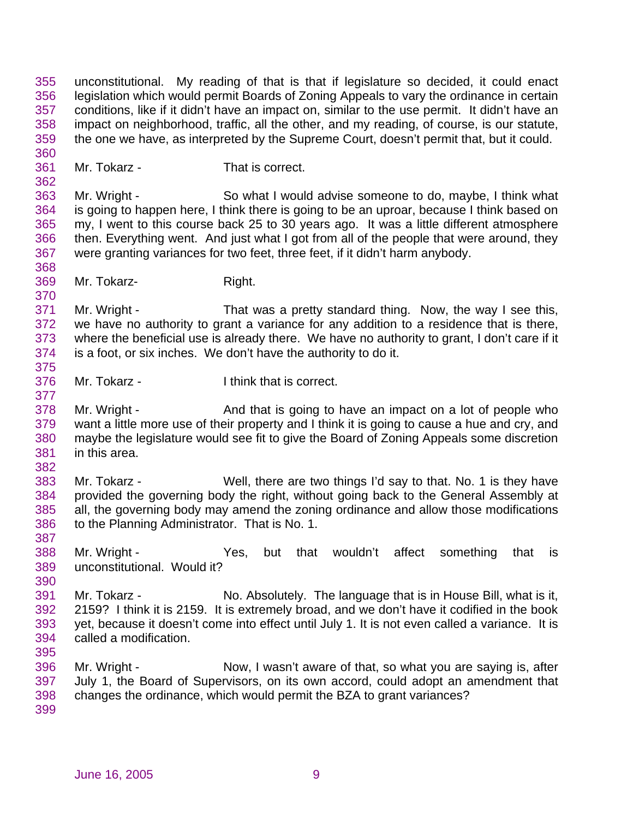unconstitutional. My reading of that is that if legislature so decided, it could enact legislation which would permit Boards of Zoning Appeals to vary the ordinance in certain conditions, like if it didn't have an impact on, similar to the use permit. It didn't have an impact on neighborhood, traffic, all the other, and my reading, of course, is our statute, the one we have, as interpreted by the Supreme Court, doesn't permit that, but it could. 

Mr. Tokarz - That is correct.

 Mr. Wright - So what I would advise someone to do, maybe, I think what is going to happen here, I think there is going to be an uproar, because I think based on my, I went to this course back 25 to 30 years ago. It was a little different atmosphere then. Everything went. And just what I got from all of the people that were around, they were granting variances for two feet, three feet, if it didn't harm anybody.

369 Mr. Tokarz-<br>
Right.

 Mr. Wright - That was a pretty standard thing. Now, the way I see this, we have no authority to grant a variance for any addition to a residence that is there, where the beneficial use is already there. We have no authority to grant, I don't care if it is a foot, or six inches. We don't have the authority to do it. 

Mr. Tokarz - I think that is correct.

378 Mr. Wright - And that is going to have an impact on a lot of people who want a little more use of their property and I think it is going to cause a hue and cry, and maybe the legislature would see fit to give the Board of Zoning Appeals some discretion in this area.

 Mr. Tokarz - Well, there are two things I'd say to that. No. 1 is they have provided the governing body the right, without going back to the General Assembly at all, the governing body may amend the zoning ordinance and allow those modifications to the Planning Administrator. That is No. 1.

 Mr. Wright - Yes, but that wouldn't affect something that is unconstitutional. Would it?

 Mr. Tokarz - No. Absolutely. The language that is in House Bill, what is it, 2159? I think it is 2159. It is extremely broad, and we don't have it codified in the book yet, because it doesn't come into effect until July 1. It is not even called a variance. It is called a modification.

 Mr. Wright - Now, I wasn't aware of that, so what you are saying is, after July 1, the Board of Supervisors, on its own accord, could adopt an amendment that changes the ordinance, which would permit the BZA to grant variances?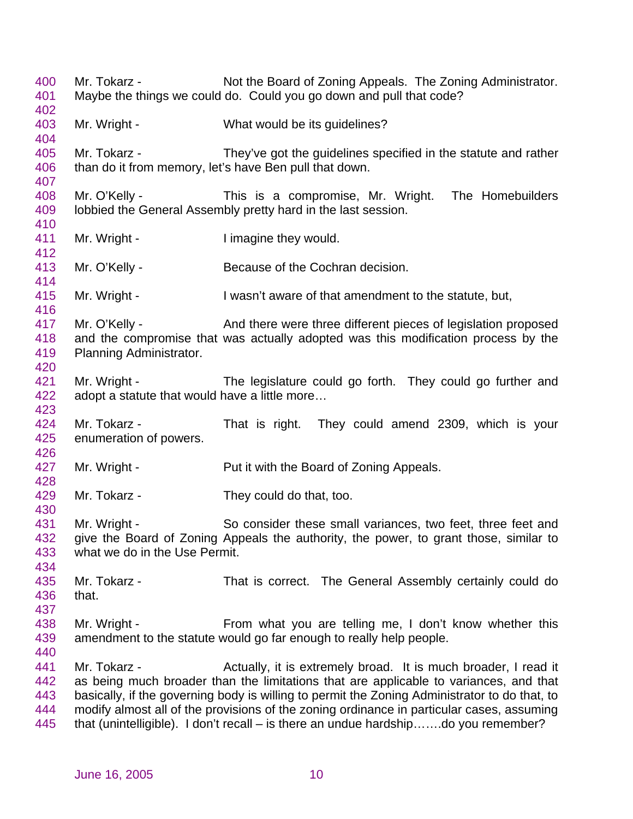Mr. Tokarz - Not the Board of Zoning Appeals. The Zoning Administrator. Maybe the things we could do. Could you go down and pull that code? Mr. Wright - What would be its guidelines? Mr. Tokarz - They've got the guidelines specified in the statute and rather than do it from memory, let's have Ben pull that down. Mr. O'Kelly - This is a compromise, Mr. Wright. The Homebuilders lobbied the General Assembly pretty hard in the last session. 411 Mr. Wright - I imagine they would. Mr. O'Kelly - Because of the Cochran decision. Mr. Wright - I wasn't aware of that amendment to the statute, but, 417 Mr. O'Kelly - And there were three different pieces of legislation proposed and the compromise that was actually adopted was this modification process by the Planning Administrator. 421 Mr. Wright - The legislature could go forth. They could go further and adopt a statute that would have a little more… Mr. Tokarz - That is right. They could amend 2309, which is your enumeration of powers. 427 Mr. Wright - Put it with the Board of Zoning Appeals. Mr. Tokarz - They could do that, too. Mr. Wright - So consider these small variances, two feet, three feet and give the Board of Zoning Appeals the authority, the power, to grant those, similar to what we do in the Use Permit. Mr. Tokarz - That is correct. The General Assembly certainly could do that. Mr. Wright - From what you are telling me, I don't know whether this amendment to the statute would go far enough to really help people. 441 Mr. Tokarz - Actually, it is extremely broad. It is much broader, I read it as being much broader than the limitations that are applicable to variances, and that basically, if the governing body is willing to permit the Zoning Administrator to do that, to modify almost all of the provisions of the zoning ordinance in particular cases, assuming that (unintelligible). I don't recall – is there an undue hardship…….do you remember?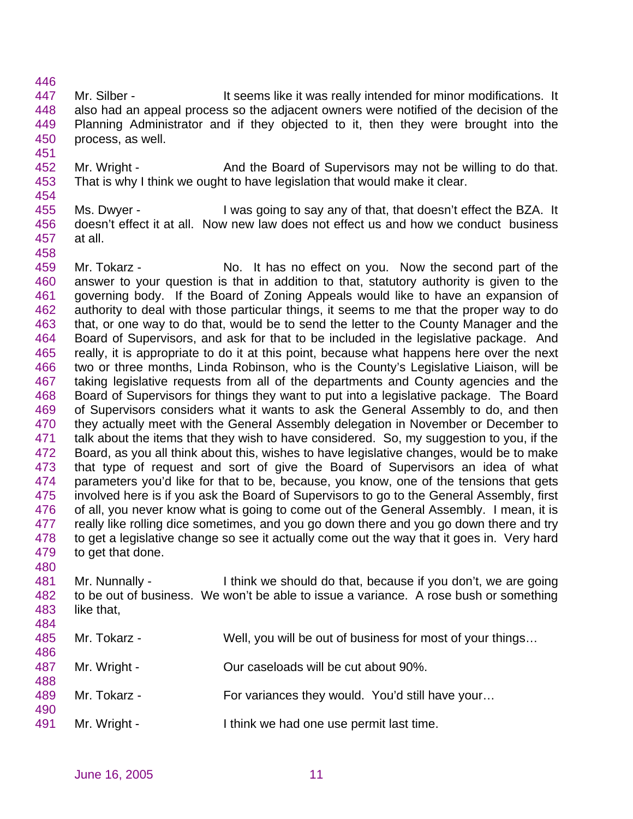- 447 Mr. Silber It seems like it was really intended for minor modifications. It also had an appeal process so the adjacent owners were notified of the decision of the Planning Administrator and if they objected to it, then they were brought into the process, as well.
- Mr. Wright And the Board of Supervisors may not be willing to do that. That is why I think we ought to have legislation that would make it clear.
- Ms. Dwyer I was going to say any of that, that doesn't effect the BZA. It doesn't effect it at all. Now new law does not effect us and how we conduct business at all.
- Mr. Tokarz No. It has no effect on you. Now the second part of the answer to your question is that in addition to that, statutory authority is given to the governing body. If the Board of Zoning Appeals would like to have an expansion of authority to deal with those particular things, it seems to me that the proper way to do that, or one way to do that, would be to send the letter to the County Manager and the Board of Supervisors, and ask for that to be included in the legislative package. And really, it is appropriate to do it at this point, because what happens here over the next two or three months, Linda Robinson, who is the County's Legislative Liaison, will be taking legislative requests from all of the departments and County agencies and the Board of Supervisors for things they want to put into a legislative package. The Board of Supervisors considers what it wants to ask the General Assembly to do, and then 470 they actually meet with the General Assembly delegation in November or December to talk about the items that they wish to have considered. So, my suggestion to you, if the Board, as you all think about this, wishes to have legislative changes, would be to make that type of request and sort of give the Board of Supervisors an idea of what parameters you'd like for that to be, because, you know, one of the tensions that gets involved here is if you ask the Board of Supervisors to go to the General Assembly, first of all, you never know what is going to come out of the General Assembly. I mean, it is really like rolling dice sometimes, and you go down there and you go down there and try 478 to get a legislative change so see it actually come out the way that it goes in. Very hard to get that done.
- Mr. Nunnally I think we should do that, because if you don't, we are going to be out of business. We won't be able to issue a variance. A rose bush or something like that,
- 

- Mr. Tokarz Well, you will be out of business for most of your things…
- Mr. Wright Our caseloads will be cut about 90%.
- 489 Mr. Tokarz For variances they would. You'd still have your...
- Mr. Wright I think we had one use permit last time.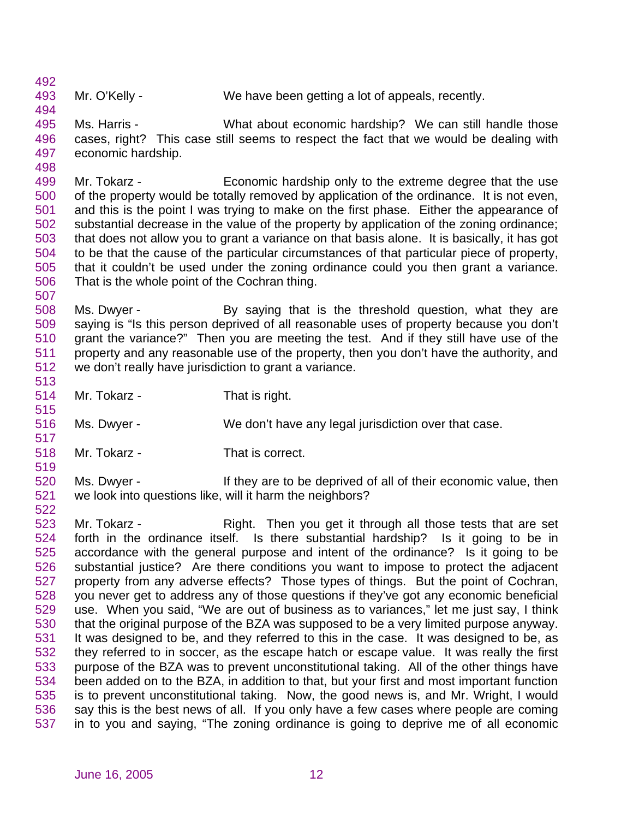Mr. O'Kelly - We have been getting a lot of appeals, recently.

 Ms. Harris - What about economic hardship? We can still handle those cases, right? This case still seems to respect the fact that we would be dealing with economic hardship.

499 Mr. Tokarz - Economic hardship only to the extreme degree that the use of the property would be totally removed by application of the ordinance. It is not even, and this is the point I was trying to make on the first phase. Either the appearance of substantial decrease in the value of the property by application of the zoning ordinance; that does not allow you to grant a variance on that basis alone. It is basically, it has got to be that the cause of the particular circumstances of that particular piece of property, that it couldn't be used under the zoning ordinance could you then grant a variance. That is the whole point of the Cochran thing.

 Ms. Dwyer - By saying that is the threshold question, what they are saying is "Is this person deprived of all reasonable uses of property because you don't grant the variance?" Then you are meeting the test. And if they still have use of the property and any reasonable use of the property, then you don't have the authority, and we don't really have jurisdiction to grant a variance. 

Mr. Tokarz - That is right.

- Ms. Dwyer We don't have any legal jurisdiction over that case.
- Mr. Tokarz That is correct.

 Ms. Dwyer - If they are to be deprived of all of their economic value, then we look into questions like, will it harm the neighbors?

 Mr. Tokarz - Right. Then you get it through all those tests that are set forth in the ordinance itself. Is there substantial hardship? Is it going to be in accordance with the general purpose and intent of the ordinance? Is it going to be substantial justice? Are there conditions you want to impose to protect the adjacent property from any adverse effects? Those types of things. But the point of Cochran, you never get to address any of those questions if they've got any economic beneficial use. When you said, "We are out of business as to variances," let me just say, I think that the original purpose of the BZA was supposed to be a very limited purpose anyway. It was designed to be, and they referred to this in the case. It was designed to be, as they referred to in soccer, as the escape hatch or escape value. It was really the first purpose of the BZA was to prevent unconstitutional taking. All of the other things have been added on to the BZA, in addition to that, but your first and most important function is to prevent unconstitutional taking. Now, the good news is, and Mr. Wright, I would say this is the best news of all. If you only have a few cases where people are coming in to you and saying, "The zoning ordinance is going to deprive me of all economic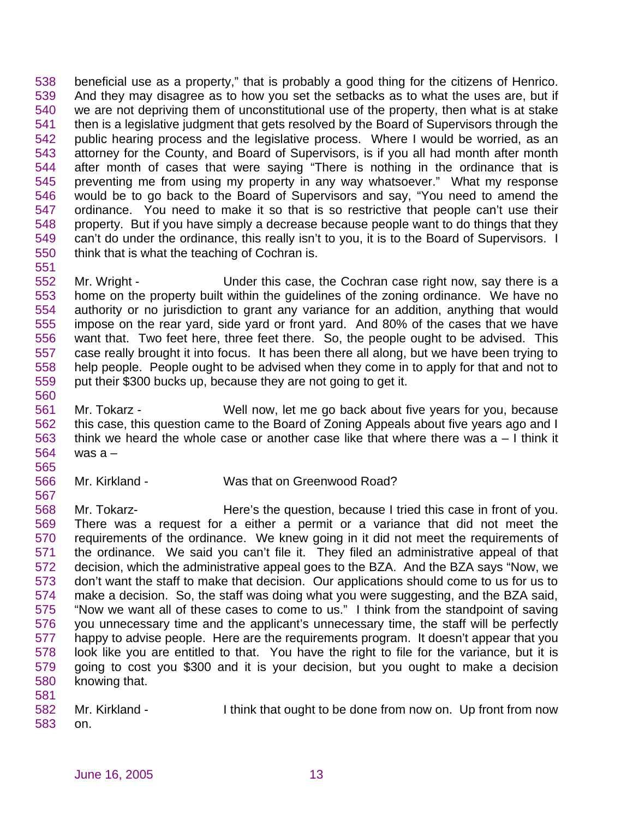beneficial use as a property," that is probably a good thing for the citizens of Henrico. And they may disagree as to how you set the setbacks as to what the uses are, but if we are not depriving them of unconstitutional use of the property, then what is at stake then is a legislative judgment that gets resolved by the Board of Supervisors through the public hearing process and the legislative process. Where I would be worried, as an attorney for the County, and Board of Supervisors, is if you all had month after month after month of cases that were saying "There is nothing in the ordinance that is preventing me from using my property in any way whatsoever." What my response would be to go back to the Board of Supervisors and say, "You need to amend the ordinance. You need to make it so that is so restrictive that people can't use their property. But if you have simply a decrease because people want to do things that they can't do under the ordinance, this really isn't to you, it is to the Board of Supervisors. I think that is what the teaching of Cochran is.

 Mr. Wright - Under this case, the Cochran case right now, say there is a home on the property built within the guidelines of the zoning ordinance. We have no authority or no jurisdiction to grant any variance for an addition, anything that would impose on the rear yard, side yard or front yard. And 80% of the cases that we have want that. Two feet here, three feet there. So, the people ought to be advised. This case really brought it into focus. It has been there all along, but we have been trying to help people. People ought to be advised when they come in to apply for that and not to put their \$300 bucks up, because they are not going to get it.

- Mr. Tokarz Well now, let me go back about five years for you, because this case, this question came to the Board of Zoning Appeals about five years ago and I think we heard the whole case or another case like that where there was a – I think it was a –
- Mr. Kirkland Was that on Greenwood Road?

 Mr. Tokarz- Here's the question, because I tried this case in front of you. There was a request for a either a permit or a variance that did not meet the requirements of the ordinance. We knew going in it did not meet the requirements of the ordinance. We said you can't file it. They filed an administrative appeal of that decision, which the administrative appeal goes to the BZA. And the BZA says "Now, we don't want the staff to make that decision. Our applications should come to us for us to make a decision. So, the staff was doing what you were suggesting, and the BZA said, "Now we want all of these cases to come to us." I think from the standpoint of saving you unnecessary time and the applicant's unnecessary time, the staff will be perfectly happy to advise people. Here are the requirements program. It doesn't appear that you look like you are entitled to that. You have the right to file for the variance, but it is going to cost you \$300 and it is your decision, but you ought to make a decision knowing that. 

 Mr. Kirkland - I think that ought to be done from now on. Up front from now on.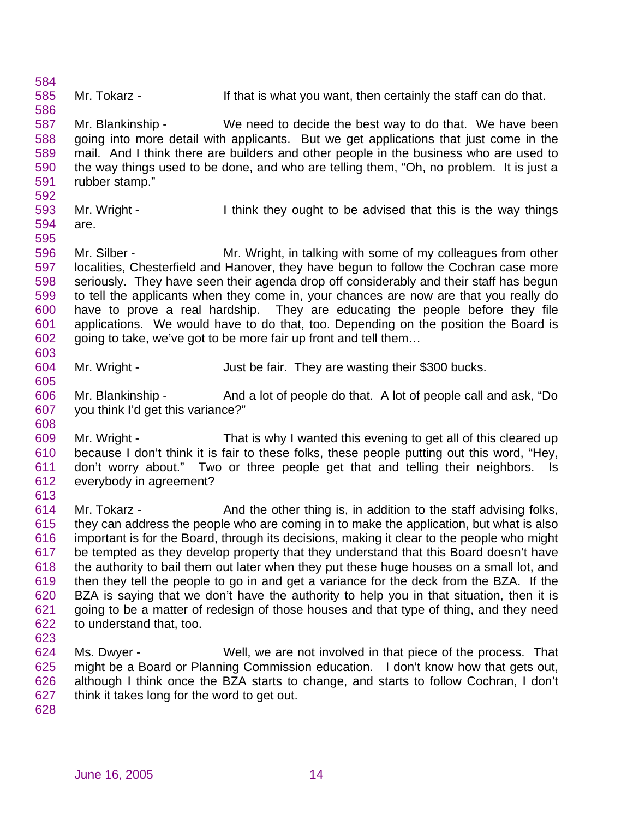Mr. Tokarz - If that is what you want, then certainly the staff can do that. Mr. Blankinship - We need to decide the best way to do that. We have been going into more detail with applicants. But we get applications that just come in the mail. And I think there are builders and other people in the business who are used to the way things used to be done, and who are telling them, "Oh, no problem. It is just a rubber stamp." Mr. Wright - I think they ought to be advised that this is the way things are. Mr. Silber - Mr. Wright, in talking with some of my colleagues from other localities, Chesterfield and Hanover, they have begun to follow the Cochran case more seriously. They have seen their agenda drop off considerably and their staff has begun to tell the applicants when they come in, your chances are now are that you really do have to prove a real hardship. They are educating the people before they file applications. We would have to do that, too. Depending on the position the Board is going to take, we've got to be more fair up front and tell them… Mr. Wright - Just be fair. They are wasting their \$300 bucks. Mr. Blankinship - And a lot of people do that. A lot of people call and ask, "Do you think I'd get this variance?" Mr. Wright - That is why I wanted this evening to get all of this cleared up because I don't think it is fair to these folks, these people putting out this word, "Hey, don't worry about." Two or three people get that and telling their neighbors. Is everybody in agreement? Mr. Tokarz - And the other thing is, in addition to the staff advising folks, they can address the people who are coming in to make the application, but what is also important is for the Board, through its decisions, making it clear to the people who might be tempted as they develop property that they understand that this Board doesn't have the authority to bail them out later when they put these huge houses on a small lot, and then they tell the people to go in and get a variance for the deck from the BZA. If the BZA is saying that we don't have the authority to help you in that situation, then it is going to be a matter of redesign of those houses and that type of thing, and they need to understand that, too. Ms. Dwyer - Well, we are not involved in that piece of the process. That might be a Board or Planning Commission education. I don't know how that gets out, although I think once the BZA starts to change, and starts to follow Cochran, I don't think it takes long for the word to get out.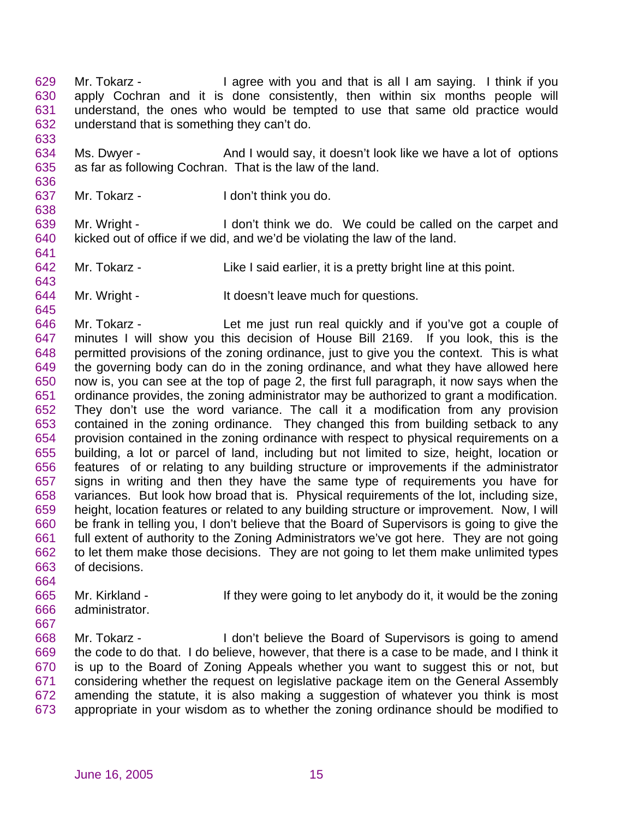Mr. Tokarz - I agree with you and that is all I am saying. I think if you apply Cochran and it is done consistently, then within six months people will understand, the ones who would be tempted to use that same old practice would understand that is something they can't do. 

634 Ms. Dwyer - And I would say, it doesn't look like we have a lot of options as far as following Cochran. That is the law of the land.

Mr. Tokarz - I don't think you do.

 Mr. Wright - I don't think we do. We could be called on the carpet and kicked out of office if we did, and we'd be violating the law of the land.

- Mr. Tokarz Like I said earlier, it is a pretty bright line at this point.
- 644 Mr. Wright It doesn't leave much for questions.

 Mr. Tokarz - Let me just run real quickly and if you've got a couple of minutes I will show you this decision of House Bill 2169. If you look, this is the permitted provisions of the zoning ordinance, just to give you the context. This is what the governing body can do in the zoning ordinance, and what they have allowed here now is, you can see at the top of page 2, the first full paragraph, it now says when the ordinance provides, the zoning administrator may be authorized to grant a modification. They don't use the word variance. The call it a modification from any provision contained in the zoning ordinance. They changed this from building setback to any provision contained in the zoning ordinance with respect to physical requirements on a building, a lot or parcel of land, including but not limited to size, height, location or features of or relating to any building structure or improvements if the administrator signs in writing and then they have the same type of requirements you have for variances. But look how broad that is. Physical requirements of the lot, including size, height, location features or related to any building structure or improvement. Now, I will be frank in telling you, I don't believe that the Board of Supervisors is going to give the full extent of authority to the Zoning Administrators we've got here. They are not going to let them make those decisions. They are not going to let them make unlimited types of decisions.

- Mr. Kirkland If they were going to let anybody do it, it would be the zoning administrator.
- 

 Mr. Tokarz - I don't believe the Board of Supervisors is going to amend the code to do that. I do believe, however, that there is a case to be made, and I think it is up to the Board of Zoning Appeals whether you want to suggest this or not, but considering whether the request on legislative package item on the General Assembly amending the statute, it is also making a suggestion of whatever you think is most appropriate in your wisdom as to whether the zoning ordinance should be modified to